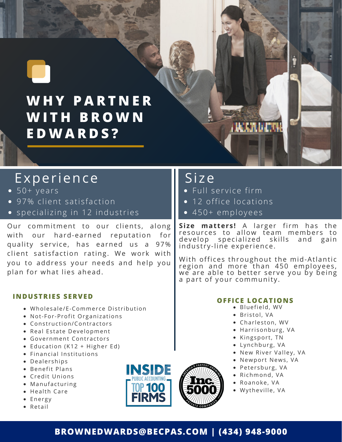

# Experience

- $-50+years$
- · 97% client satisfaction
- specializing in 12 industries

Our commitment to our clients, along with our hard-earned reputation for quality service, has earned us a 97% client satisfaction rating. We work with you to address your needs and help you plan for what lies ahead.

#### **INDUSTRIES SERVED**

- · Wholesale/E-Commerce Distribution
- Not-For-Profit Organizations
- Construction/Contractors
- Real Estate Development
- Government Contractors
- Education (K12 + Higher Ed)
- Financial Institutions
- Dealerships
- Benefit Plans
- Credit Unions
- Manufacturing
- Health Care
- Energy
- Retail



# Si ze

- · Full service firm
- 12 office locations
- 450+ employees

**Size matters!** A larger firm has the resources to allow team members to develop specialized skills and gain industry-line experience.

*<b>UCARDERS* 

With offices throughout the mid-Atlantic region and more than 450 employees , we are able to better serve you by being a part of your community.

#### **OFFICE LOCATIONS**

- Bluefield, WV
- · Bristol, VA
- Charleston, WV
- Harrisonburg, VA
- Kingsport, TN
- Lynchburg, VA
- New River Valley, VA
- Newport News, VA
- Petersburg, VA
- Richmond, VA
- Roanoke, VA
- Wytheville, VA

### **BROWNEDWARDS@BECPAS.COM | (434) 948-9000**